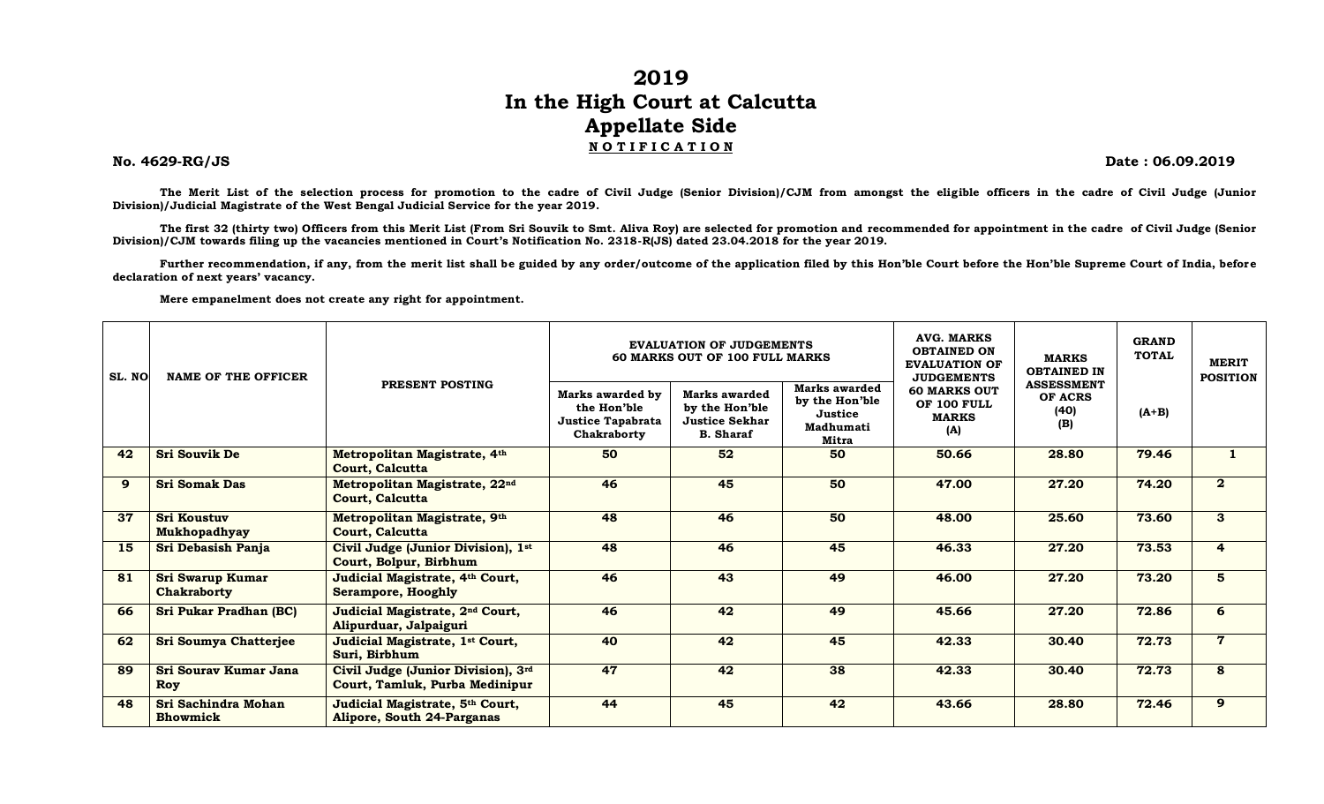## **2019 In the High Court at Calcutta Appellate Side N O T I F I C A T I O N**

**No. 4629-RG/JS Date : 06.09.2019**

**The Merit List of the selection process for promotion to the cadre of Civil Judge (Senior Division)/CJM from amongst the eligible officers in the cadre of Civil Judge (Junior Division)/Judicial Magistrate of the West Bengal Judicial Service for the year 2019.**

The first 32 (thirty two) Officers from this Merit List (From Sri Souvik to Smt. Aliva Roy) are selected for promotion and recommended for appointment in the cadre of Civil Judge (Senior **Division)/CJM towards filing up the vacancies mentioned in Court's Notification No. 2318-R(JS) dated 23.04.2018 for the year 2019.**

**Further recommendation, if any, from the merit list shall be guided by any order/outcome of the application filed by this Hon'ble Court before the Hon'ble Supreme Court of India, before declaration of next years' vacancy.**

**Mere empanelment does not create any right for appointment.**

| SL. NO | <b>NAME OF THE OFFICER</b>                |                                                                       |                                                                            | <b>EVALUATION OF JUDGEMENTS</b><br><b>60 MARKS OUT OF 100 FULL MARKS</b>     | <b>AVG. MARKS</b><br><b>OBTAINED ON</b><br><b>EVALUATION OF</b><br><b>JUDGEMENTS</b> | <b>MARKS</b><br><b>OBTAINED IN</b>                        | <b>GRAND</b><br><b>TOTAL</b>                | <b>MERIT</b><br><b>POSITION</b> |                |
|--------|-------------------------------------------|-----------------------------------------------------------------------|----------------------------------------------------------------------------|------------------------------------------------------------------------------|--------------------------------------------------------------------------------------|-----------------------------------------------------------|---------------------------------------------|---------------------------------|----------------|
|        |                                           | PRESENT POSTING                                                       | Marks awarded by<br>the Hon'ble<br><b>Justice Tapabrata</b><br>Chakraborty | Marks awarded<br>by the Hon'ble<br><b>Justice Sekhar</b><br><b>B.</b> Sharaf | Marks awarded<br>by the Hon'ble<br>Justice<br>Madhumati<br>Mitra                     | <b>60 MARKS OUT</b><br>OF 100 FULL<br><b>MARKS</b><br>(A) | <b>ASSESSMENT</b><br>OF ACRS<br>(40)<br>(B) | $(A+B)$                         |                |
| 42     | <b>Sri Souvik De</b>                      | Metropolitan Magistrate, 4th<br>Court, Calcutta                       | 50                                                                         | 52                                                                           | 50                                                                                   | 50.66                                                     | 28.80                                       | 79.46                           |                |
| 9      | <b>Sri Somak Das</b>                      | Metropolitan Magistrate, 22nd<br>Court, Calcutta                      | 46                                                                         | 45                                                                           | 50                                                                                   | 47.00                                                     | 27.20                                       | 74.20                           | $\overline{2}$ |
| 37     | <b>Sri Koustuv</b><br><b>Mukhopadhyay</b> | Metropolitan Magistrate, 9th<br><b>Court, Calcutta</b>                | 48                                                                         | 46                                                                           | 50                                                                                   | 48.00                                                     | 25.60                                       | 73.60                           | $\mathbf{3}$   |
| 15     | Sri Debasish Panja                        | Civil Judge (Junior Division), 1st<br>Court, Bolpur, Birbhum          | 48                                                                         | 46                                                                           | 45                                                                                   | 46.33                                                     | 27.20                                       | 73.53                           | $\overline{4}$ |
| 81     | <b>Sri Swarup Kumar</b><br>Chakraborty    | Judicial Magistrate, 4th Court,<br><b>Serampore, Hooghly</b>          | 46                                                                         | 43                                                                           | 49                                                                                   | 46.00                                                     | 27.20                                       | 73.20                           | 5 <sup>5</sup> |
| 66     | <b>Sri Pukar Pradhan (BC)</b>             | Judicial Magistrate, 2 <sup>nd</sup> Court,<br>Alipurduar, Jalpaiguri | 46                                                                         | 42                                                                           | 49                                                                                   | 45.66                                                     | 27.20                                       | 72.86                           | 6              |
| 62     | <b>Sri Soumya Chatterjee</b>              | Judicial Magistrate, 1st Court,<br>Suri, Birbhum                      | 40                                                                         | 42                                                                           | 45                                                                                   | 42.33                                                     | 30.40                                       | 72.73                           | $\overline{7}$ |
| 89     | <b>Sri Sourav Kumar Jana</b><br>Roy       | Civil Judge (Junior Division), 3rd<br>Court, Tamluk, Purba Medinipur  | 47                                                                         | 42                                                                           | 38                                                                                   | 42.33                                                     | 30.40                                       | 72.73                           | 8              |
| 48     | Sri Sachindra Mohan<br><b>Bhowmick</b>    | Judicial Magistrate, 5th Court,<br><b>Alipore, South 24-Parganas</b>  | 44                                                                         | 45                                                                           | 42                                                                                   | 43.66                                                     | 28.80                                       | 72.46                           | 9              |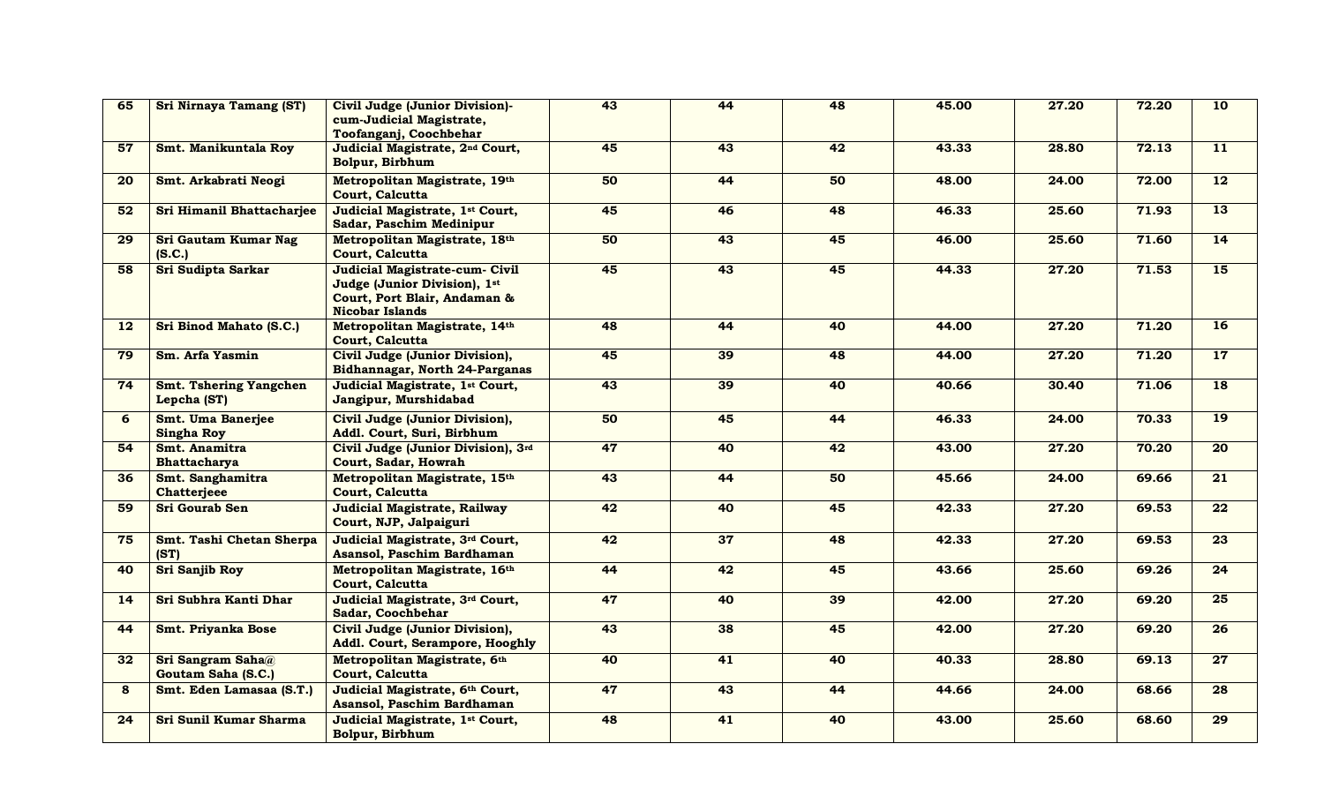| 65              | <b>Sri Nirnaya Tamang (ST)</b>               | Civil Judge (Junior Division)-<br>cum-Judicial Magistrate,<br>Toofanganj, Coochbehar                                     | 43 | 44 | 48 | 45.00 | 27.20 | 72.20 | 10              |
|-----------------|----------------------------------------------|--------------------------------------------------------------------------------------------------------------------------|----|----|----|-------|-------|-------|-----------------|
| 57              | Smt. Manikuntala Roy                         | Judicial Magistrate, 2 <sup>nd</sup> Court,<br>Bolpur, Birbhum                                                           | 45 | 43 | 42 | 43.33 | 28.80 | 72.13 | $\overline{11}$ |
| 20              | Smt. Arkabrati Neogi                         | Metropolitan Magistrate, 19th<br>Court, Calcutta                                                                         | 50 | 44 | 50 | 48.00 | 24.00 | 72.00 | $\overline{12}$ |
| 52              | Sri Himanil Bhattacharjee                    | Judicial Magistrate, 1st Court,<br>Sadar, Paschim Medinipur                                                              | 45 | 46 | 48 | 46.33 | 25.60 | 71.93 | 13              |
| 29              | Sri Gautam Kumar Nag<br>(S.C.)               | Metropolitan Magistrate, 18th<br>Court, Calcutta                                                                         | 50 | 43 | 45 | 46.00 | 25.60 | 71.60 | 14              |
| 58              | Sri Sudipta Sarkar                           | Judicial Magistrate-cum- Civil<br>Judge (Junior Division), 1st<br>Court, Port Blair, Andaman &<br><b>Nicobar Islands</b> | 45 | 43 | 45 | 44.33 | 27.20 | 71.53 | 15              |
| 12              | Sri Binod Mahato (S.C.)                      | Metropolitan Magistrate, 14th<br>Court, Calcutta                                                                         | 48 | 44 | 40 | 44.00 | 27.20 | 71.20 | 16              |
| 79              | Sm. Arfa Yasmin                              | Civil Judge (Junior Division),<br>Bidhannagar, North 24-Parganas                                                         | 45 | 39 | 48 | 44.00 | 27.20 | 71.20 | 17              |
| 74              | <b>Smt. Tshering Yangchen</b><br>Lepcha (ST) | Judicial Magistrate, 1st Court,<br>Jangipur, Murshidabad                                                                 | 43 | 39 | 40 | 40.66 | 30.40 | 71.06 | $\overline{18}$ |
| 6               | Smt. Uma Banerjee<br><b>Singha Roy</b>       | Civil Judge (Junior Division),<br>Addl. Court, Suri, Birbhum                                                             | 50 | 45 | 44 | 46.33 | 24.00 | 70.33 | $\overline{19}$ |
| 54              | Smt. Anamitra<br><b>Bhattacharya</b>         | Civil Judge (Junior Division), 3rd<br>Court, Sadar, Howrah                                                               | 47 | 40 | 42 | 43.00 | 27.20 | 70.20 | $\overline{20}$ |
| 36              | Smt. Sanghamitra<br><b>Chatterjeee</b>       | Metropolitan Magistrate, 15th<br><b>Court, Calcutta</b>                                                                  | 43 | 44 | 50 | 45.66 | 24.00 | 69.66 | 21              |
| 59              | Sri Gourab Sen                               | Judicial Magistrate, Railway<br>Court, NJP, Jalpaiguri                                                                   | 42 | 40 | 45 | 42.33 | 27.20 | 69.53 | $\overline{22}$ |
| 75              | Smt. Tashi Chetan Sherpa<br>(ST)             | Judicial Magistrate, 3rd Court,<br>Asansol, Paschim Bardhaman                                                            | 42 | 37 | 48 | 42.33 | 27.20 | 69.53 | 23              |
| 40              | <b>Sri Sanjib Roy</b>                        | Metropolitan Magistrate, 16th<br>Court, Calcutta                                                                         | 44 | 42 | 45 | 43.66 | 25.60 | 69.26 | 24              |
| 14              | Sri Subhra Kanti Dhar                        | Judicial Magistrate, 3rd Court,<br>Sadar, Coochbehar                                                                     | 47 | 40 | 39 | 42.00 | 27.20 | 69.20 | 25              |
| 44              | Smt. Priyanka Bose                           | Civil Judge (Junior Division),<br>Addl. Court, Serampore, Hooghly                                                        | 43 | 38 | 45 | 42.00 | 27.20 | 69.20 | $\overline{26}$ |
| 32 <sub>2</sub> | Sri Sangram Saha@<br>Goutam Saha (S.C.)      | Metropolitan Magistrate, 6th<br>Court, Calcutta                                                                          | 40 | 41 | 40 | 40.33 | 28.80 | 69.13 | 27              |
| 8               | Smt. Eden Lamasaa (S.T.)                     | Judicial Magistrate, 6th Court,<br>Asansol, Paschim Bardhaman                                                            | 47 | 43 | 44 | 44.66 | 24.00 | 68.66 | 28              |
| 24              | Sri Sunil Kumar Sharma                       | Judicial Magistrate, 1st Court,<br>Bolpur, Birbhum                                                                       | 48 | 41 | 40 | 43.00 | 25.60 | 68.60 | $\overline{29}$ |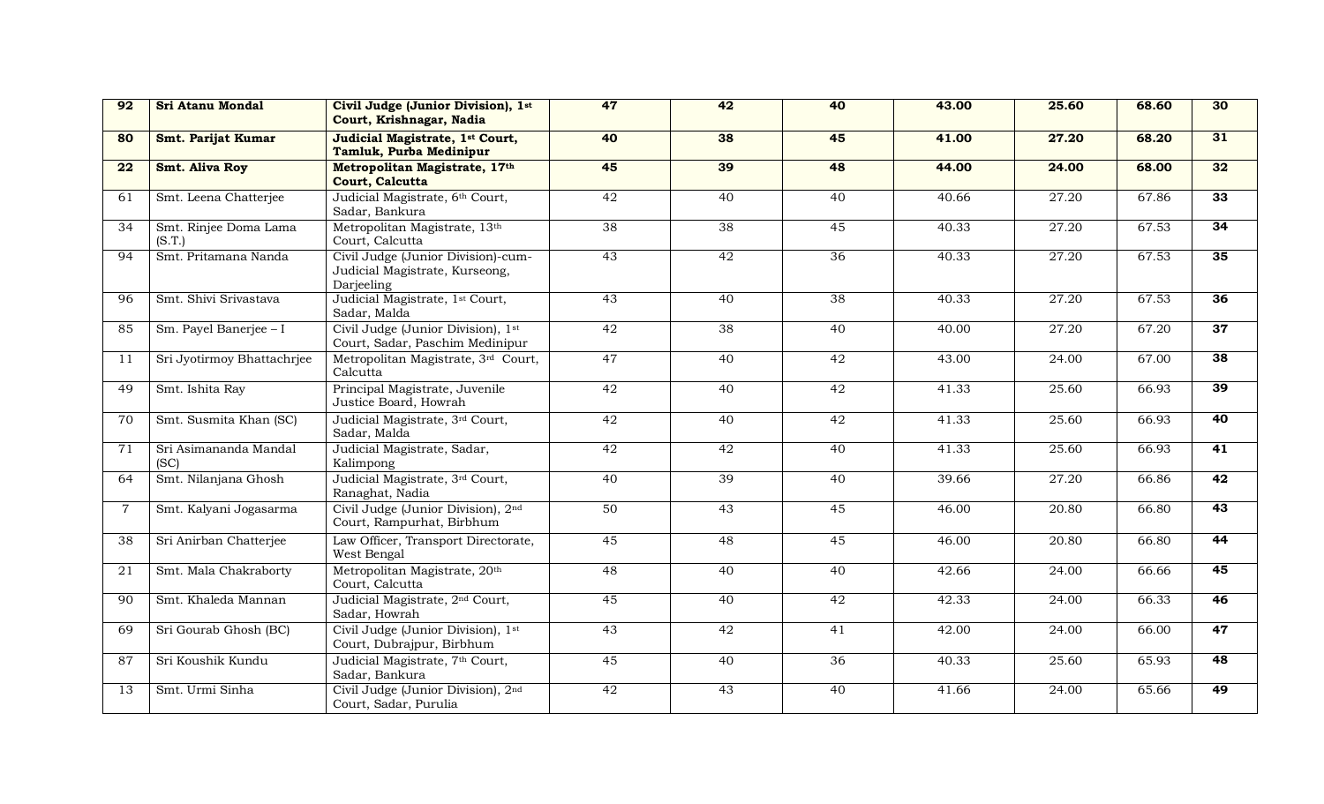| 92              | <b>Sri Atanu Mondal</b>         | Civil Judge (Junior Division), 1st<br>Court, Krishnagar, Nadia                     | 47              | 42              | 40              | 43.00              | 25.60 | 68.60 | 30              |
|-----------------|---------------------------------|------------------------------------------------------------------------------------|-----------------|-----------------|-----------------|--------------------|-------|-------|-----------------|
| 80              | Smt. Parijat Kumar              | Judicial Magistrate, 1st Court,<br>Tamluk, Purba Medinipur                         | 40              | 38              | 45              | 41.00              | 27.20 | 68.20 | 31              |
| 22              | <b>Smt. Aliva Roy</b>           | Metropolitan Magistrate, 17th<br>Court, Calcutta                                   | 45              | 39              | 48              | 44.00              | 24.00 | 68.00 | 32              |
| 61              | Smt. Leena Chatterjee           | Judicial Magistrate, 6th Court,<br>Sadar, Bankura                                  | $\overline{42}$ | 40              | 40              | 40.66              | 27.20 | 67.86 | 33              |
| 34              | Smt. Rinjee Doma Lama<br>(S.T.) | Metropolitan Magistrate, 13th<br>Court, Calcutta                                   | $\overline{38}$ | $\overline{38}$ | 45              | 40.33              | 27.20 | 67.53 | 34              |
| 94              | Smt. Pritamana Nanda            | Civil Judge (Junior Division)-cum-<br>Judicial Magistrate, Kurseong,<br>Darjeeling | 43              | 42              | 36              | 40.33              | 27.20 | 67.53 | 35              |
| 96              | Smt. Shivi Srivastava           | Judicial Magistrate, 1 <sup>st</sup> Court,<br>Sadar, Malda                        | 43              | 40              | $\overline{38}$ | 40.33              | 27.20 | 67.53 | $\overline{36}$ |
| 85              | Sm. Payel Banerjee - I          | Civil Judge (Junior Division), 1st<br>Court, Sadar, Paschim Medinipur              | 42              | $\overline{38}$ | 40              | $\overline{40.00}$ | 27.20 | 67.20 | 37              |
| 11              | Sri Jyotirmoy Bhattachrjee      | Metropolitan Magistrate, 3rd Court,<br>Calcutta                                    | 47              | $\overline{40}$ | 42              | 43.00              | 24.00 | 67.00 | 38              |
| 49              | Smt. Ishita Ray                 | Principal Magistrate, Juvenile<br>Justice Board, Howrah                            | 42              | 40              | 42              | 41.33              | 25.60 | 66.93 | 39              |
| 70              | Smt. Susmita Khan (SC)          | Judicial Magistrate, 3rd Court,<br>Sadar, Malda                                    | 42              | 40              | 42              | 41.33              | 25.60 | 66.93 | 40              |
| 71              | Sri Asimananda Mandal<br>(SC)   | Judicial Magistrate, Sadar,<br>Kalimpong                                           | 42              | $\overline{42}$ | 40              | 41.33              | 25.60 | 66.93 | $\overline{41}$ |
| 64              | Smt. Nilanjana Ghosh            | Judicial Magistrate, 3rd Court,<br>Ranaghat, Nadia                                 | 40              | 39              | 40              | 39.66              | 27.20 | 66.86 | 42              |
| 7               | Smt. Kalyani Jogasarma          | Civil Judge (Junior Division), 2nd<br>Court, Rampurhat, Birbhum                    | 50              | $\overline{43}$ | 45              | 46.00              | 20.80 | 66.80 | 43              |
| $\overline{38}$ | Sri Anirban Chatterjee          | Law Officer, Transport Directorate,<br>West Bengal                                 | 45              | 48              | 45              | 46.00              | 20.80 | 66.80 | 44              |
| 21              | Smt. Mala Chakraborty           | Metropolitan Magistrate, 20th<br>Court, Calcutta                                   | 48              | 40              | 40              | 42.66              | 24.00 | 66.66 | 45              |
| 90              | Smt. Khaleda Mannan             | Judicial Magistrate, 2 <sup>nd</sup> Court,<br>Sadar, Howrah                       | 45              | $\overline{40}$ | 42              | 42.33              | 24.00 | 66.33 | 46              |
| 69              | Sri Gourab Ghosh (BC)           | Civil Judge (Junior Division), 1st<br>Court, Dubrajpur, Birbhum                    | 43              | 42              | 41              | 42.00              | 24.00 | 66.00 | 47              |
| 87              | Sri Koushik Kundu               | Judicial Magistrate, 7th Court,<br>Sadar, Bankura                                  | 45              | 40              | 36              | 40.33              | 25.60 | 65.93 | 48              |
| 13              | Smt. Urmi Sinha                 | Civil Judge (Junior Division), 2nd<br>Court, Sadar, Purulia                        | 42              | $\overline{43}$ | 40              | 41.66              | 24.00 | 65.66 | 49              |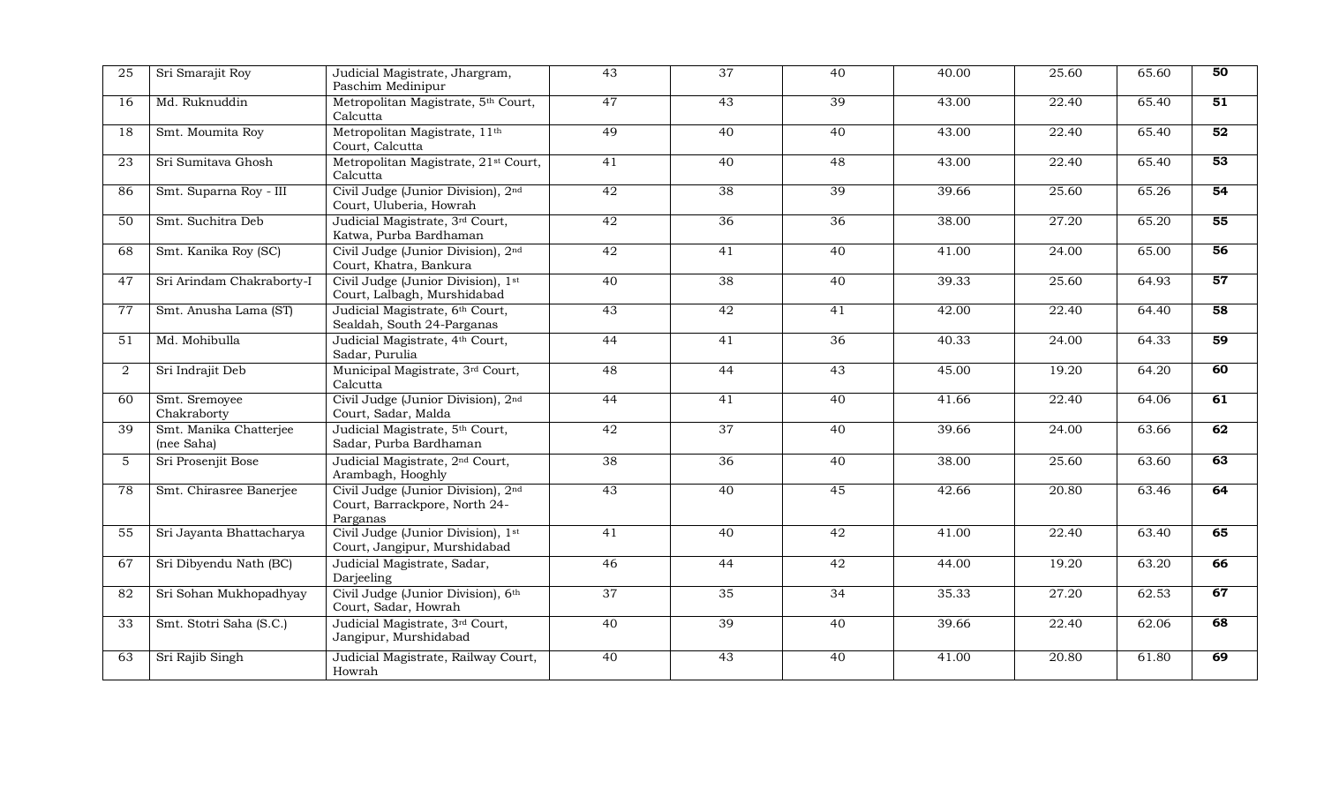| 25             | Sri Smarajit Roy                     | Judicial Magistrate, Jhargram,<br>Paschim Medinipur                             | 43              | $\overline{37}$ | 40              | 40.00 | 25.60 | 65.60 | 50              |
|----------------|--------------------------------------|---------------------------------------------------------------------------------|-----------------|-----------------|-----------------|-------|-------|-------|-----------------|
| 16             | Md. Ruknuddin                        | Metropolitan Magistrate, 5th Court,<br>Calcutta                                 | 47              | 43              | 39              | 43.00 | 22.40 | 65.40 | $\overline{51}$ |
| 18             | Smt. Moumita Roy                     | Metropolitan Magistrate, 11 <sup>th</sup><br>Court, Calcutta                    | 49              | 40              | 40              | 43.00 | 22.40 | 65.40 | 52              |
| 23             | Sri Sumitava Ghosh                   | Metropolitan Magistrate, 21 <sup>st</sup> Court,<br>Calcutta                    | 41              | 40              | 48              | 43.00 | 22.40 | 65.40 | 53              |
| 86             | Smt. Suparna Roy - III               | Civil Judge (Junior Division), 2nd<br>Court, Uluberia, Howrah                   | 42              | $\overline{38}$ | 39              | 39.66 | 25.60 | 65.26 | 54              |
| 50             | Smt. Suchitra Deb                    | Judicial Magistrate, 3rd Court,<br>Katwa, Purba Bardhaman                       | $\overline{42}$ | 36              | $\overline{36}$ | 38.00 | 27.20 | 65.20 | $\overline{55}$ |
| 68             | Smt. Kanika Roy (SC)                 | Civil Judge (Junior Division), 2nd<br>Court, Khatra, Bankura                    | 42              | 41              | 40              | 41.00 | 24.00 | 65.00 | 56              |
| 47             | Sri Arindam Chakraborty-I            | Civil Judge (Junior Division), 1st<br>Court, Lalbagh, Murshidabad               | 40              | 38              | 40              | 39.33 | 25.60 | 64.93 | 57              |
| 77             | Smt. Anusha Lama (ST)                | Judicial Magistrate, 6th Court,<br>Sealdah, South 24-Parganas                   | 43              | $\overline{42}$ | 41              | 42.00 | 22.40 | 64.40 | 58              |
| 51             | Md. Mohibulla                        | Judicial Magistrate, 4th Court,<br>Sadar, Purulia                               | 44              | 41              | $\overline{36}$ | 40.33 | 24.00 | 64.33 | 59              |
| $\overline{2}$ | Sri Indrajit Deb                     | Municipal Magistrate, 3rd Court,<br>Calcutta                                    | 48              | 44              | $\overline{43}$ | 45.00 | 19.20 | 64.20 | 60              |
| 60             | Smt. Sremoyee<br>Chakraborty         | Civil Judge (Junior Division), 2nd<br>Court, Sadar, Malda                       | 44              | 41              | 40              | 41.66 | 22.40 | 64.06 | 61              |
| 39             | Smt. Manika Chatterjee<br>(nee Saha) | Judicial Magistrate, 5th Court,<br>Sadar, Purba Bardhaman                       | 42              | 37              | 40              | 39.66 | 24.00 | 63.66 | 62              |
| 5              | Sri Prosenjit Bose                   | Judicial Magistrate, 2 <sup>nd</sup> Court,<br>Arambagh, Hooghly                | 38              | 36              | 40              | 38.00 | 25.60 | 63.60 | 63              |
| 78             | Smt. Chirasree Banerjee              | Civil Judge (Junior Division), 2nd<br>Court, Barrackpore, North 24-<br>Parganas | 43              | 40              | 45              | 42.66 | 20.80 | 63.46 | 64              |
| 55             | Sri Jayanta Bhattacharya             | Civil Judge (Junior Division), 1st<br>Court, Jangipur, Murshidabad              | 41              | 40              | 42              | 41.00 | 22.40 | 63.40 | 65              |
| 67             | Sri Dibyendu Nath (BC)               | Judicial Magistrate, Sadar,<br>Darjeeling                                       | 46              | 44              | 42              | 44.00 | 19.20 | 63.20 | 66              |
| 82             | Sri Sohan Mukhopadhyay               | Civil Judge (Junior Division), 6th<br>Court, Sadar, Howrah                      | $\overline{37}$ | 35              | $\overline{34}$ | 35.33 | 27.20 | 62.53 | 67              |
| 33             | Smt. Stotri Saha (S.C.)              | Judicial Magistrate, 3rd Court,<br>Jangipur, Murshidabad                        | 40              | 39              | 40              | 39.66 | 22.40 | 62.06 | 68              |
| 63             | Sri Rajib Singh                      | Judicial Magistrate, Railway Court,<br>Howrah                                   | 40              | 43              | 40              | 41.00 | 20.80 | 61.80 | 69              |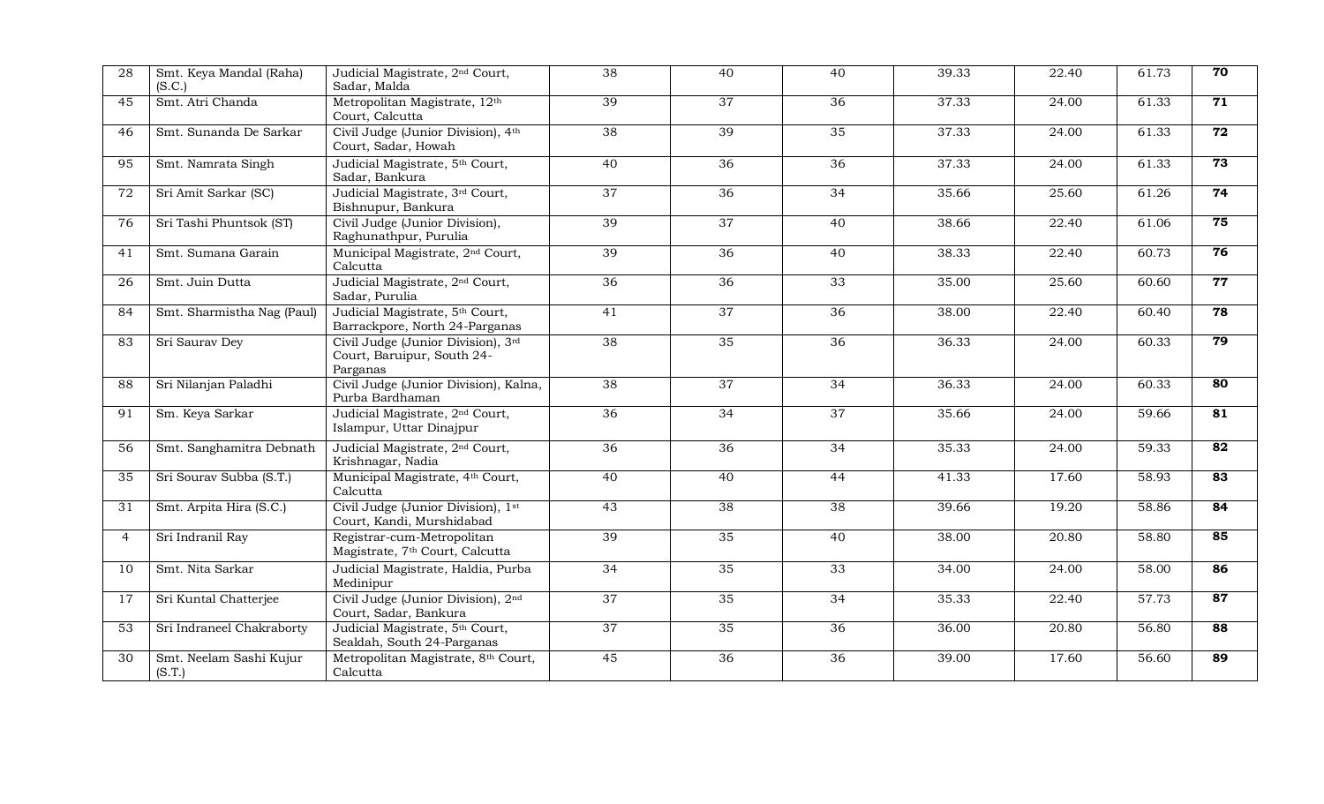| 28             | Smt. Keya Mandal (Raha)<br>(S.C.) | Judicial Magistrate, 2 <sup>nd</sup> Court,<br>Sadar, Malda                  | $\overline{38}$ | 40              | 40              | 39.33 | 22.40 | 61.73              | $\overline{70}$ |
|----------------|-----------------------------------|------------------------------------------------------------------------------|-----------------|-----------------|-----------------|-------|-------|--------------------|-----------------|
| 45             | Smt. Atri Chanda                  | Metropolitan Magistrate, 12th<br>Court, Calcutta                             | 39              | 37              | $\overline{36}$ | 37.33 | 24.00 | 61.33              | $\overline{71}$ |
| 46             | Smt. Sunanda De Sarkar            | Civil Judge (Junior Division), 4th<br>Court, Sadar, Howah                    | $\overline{38}$ | 39              | $\overline{35}$ | 37.33 | 24.00 | 61.33              | $\overline{72}$ |
| 95             | Smt. Namrata Singh                | Judicial Magistrate, 5th Court,<br>Sadar, Bankura                            | 40              | 36              | $\overline{36}$ | 37.33 | 24.00 | 61.33              | 73              |
| 72             | Sri Amit Sarkar (SC)              | Judicial Magistrate, 3rd Court,<br>Bishnupur, Bankura                        | 37              | 36              | 34              | 35.66 | 25.60 | 61.26              | 74              |
| 76             | Sri Tashi Phuntsok (ST)           | Civil Judge (Junior Division),<br>Raghunathpur, Purulia                      | 39              | 37              | 40              | 38.66 | 22.40 | 61.06              | 75              |
| 41             | Smt. Sumana Garain                | Municipal Magistrate, 2 <sup>nd</sup> Court,<br>Calcutta                     | 39              | 36              | 40              | 38.33 | 22.40 | 60.73              | 76              |
| 26             | Smt. Juin Dutta                   | Judicial Magistrate, 2 <sup>nd</sup> Court,<br>Sadar, Purulia                | 36              | 36              | 33              | 35.00 | 25.60 | 60.60              | 77              |
| 84             | Smt. Sharmistha Nag (Paul)        | Judicial Magistrate, 5th Court,<br>Barrackpore, North 24-Parganas            | 41              | $\overline{37}$ | 36              | 38.00 | 22.40 | 60.40              | $\overline{78}$ |
| 83             | Sri Saurav Dey                    | Civil Judge (Junior Division), 3rd<br>Court, Baruipur, South 24-<br>Parganas | 38              | 35              | $\overline{36}$ | 36.33 | 24.00 | 60.33              | 79              |
| 88             | Sri Nilanjan Paladhi              | Civil Judge (Junior Division), Kalna,<br>Purba Bardhaman                     | 38              | 37              | $\overline{34}$ | 36.33 | 24.00 | 60.33              | 80              |
| 91             | Sm. Keya Sarkar                   | Judicial Magistrate, 2 <sup>nd</sup> Court,<br>Islampur, Uttar Dinajpur      | 36              | 34              | 37              | 35.66 | 24.00 | 59.66              | $\overline{81}$ |
| 56             | Smt. Sanghamitra Debnath          | Judicial Magistrate, 2 <sup>nd</sup> Court,<br>Krishnagar, Nadia             | 36              | 36              | 34              | 35.33 | 24.00 | $\overline{59.33}$ | 82              |
| 35             | Sri Sourav Subba (S.T.)           | Municipal Magistrate, 4th Court,<br>Calcutta                                 | 40              | 40              | 44              | 41.33 | 17.60 | 58.93              | 83              |
| 31             | Smt. Arpita Hira (S.C.)           | Civil Judge (Junior Division), 1st<br>Court, Kandi, Murshidabad              | 43              | 38              | 38              | 39.66 | 19.20 | 58.86              | $\overline{84}$ |
| $\overline{4}$ | Sri Indranil Ray                  | Registrar-cum-Metropolitan<br>Magistrate, 7 <sup>th</sup> Court, Calcutta    | 39              | 35              | 40              | 38.00 | 20.80 | 58.80              | 85              |
| 10             | Smt. Nita Sarkar                  | Judicial Magistrate, Haldia, Purba<br>Medinipur                              | 34              | 35              | 33              | 34.00 | 24.00 | $\overline{58.00}$ | 86              |
| 17             | Sri Kuntal Chatterjee             | Civil Judge (Junior Division), 2nd<br>Court, Sadar, Bankura                  | 37              | 35              | 34              | 35.33 | 22.40 | 57.73              | 87              |
| 53             | Sri Indraneel Chakraborty         | Judicial Magistrate, 5th Court,<br>Sealdah, South 24-Parganas                | 37              | 35              | $\overline{36}$ | 36.00 | 20.80 | 56.80              | 88              |
| 30             | Smt. Neelam Sashi Kujur<br>(S.T.) | Metropolitan Magistrate, 8th Court,<br>Calcutta                              | 45              | 36              | $\overline{36}$ | 39.00 | 17.60 | 56.60              | 89              |